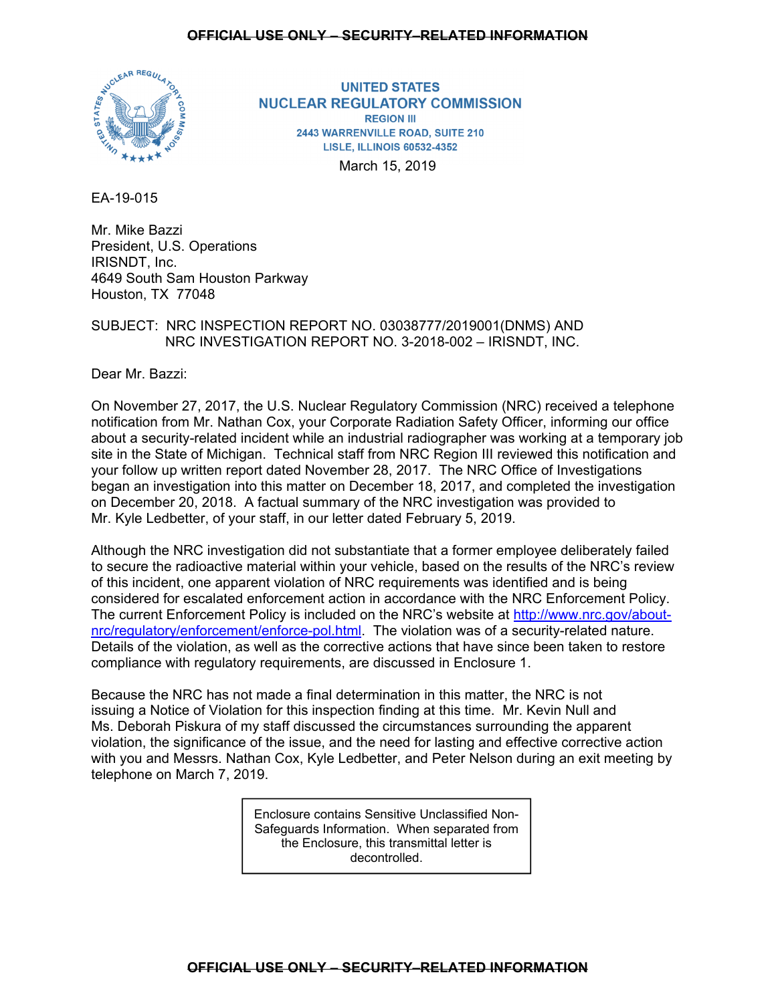# **OFFICIAL USE ONLY – SECURITY–RELATED INFORMATION**



**UNITED STATES NUCLEAR REGULATORY COMMISSION REGION III** 2443 WARRENVILLE ROAD, SUITE 210 **LISLE, ILLINOIS 60532-4352** 

March 15, 2019

EA-19-015

Mr. Mike Bazzi President, U.S. Operations IRISNDT, Inc. 4649 South Sam Houston Parkway Houston, TX 77048

# SUBJECT: NRC INSPECTION REPORT NO. 03038777/2019001(DNMS) AND NRC INVESTIGATION REPORT NO. 3-2018-002 – IRISNDT, INC.

Dear Mr. Bazzi:

On November 27, 2017, the U.S. Nuclear Regulatory Commission (NRC) received a telephone notification from Mr. Nathan Cox, your Corporate Radiation Safety Officer, informing our office about a security-related incident while an industrial radiographer was working at a temporary job site in the State of Michigan. Technical staff from NRC Region III reviewed this notification and your follow up written report dated November 28, 2017. The NRC Office of Investigations began an investigation into this matter on December 18, 2017, and completed the investigation on December 20, 2018. A factual summary of the NRC investigation was provided to Mr. Kyle Ledbetter, of your staff, in our letter dated February 5, 2019.

Although the NRC investigation did not substantiate that a former employee deliberately failed to secure the radioactive material within your vehicle, based on the results of the NRC's review of this incident, one apparent violation of NRC requirements was identified and is being considered for escalated enforcement action in accordance with the NRC Enforcement Policy. The current Enforcement Policy is included on the NRC's website at http://www.nrc.gov/aboutnrc/regulatory/enforcement/enforce-pol.html. The violation was of a security-related nature. Details of the violation, as well as the corrective actions that have since been taken to restore compliance with regulatory requirements, are discussed in Enclosure 1.

Because the NRC has not made a final determination in this matter, the NRC is not issuing a Notice of Violation for this inspection finding at this time. Mr. Kevin Null and Ms. Deborah Piskura of my staff discussed the circumstances surrounding the apparent violation, the significance of the issue, and the need for lasting and effective corrective action with you and Messrs. Nathan Cox, Kyle Ledbetter, and Peter Nelson during an exit meeting by telephone on March 7, 2019.

> Enclosure contains Sensitive Unclassified Non-Safeguards Information. When separated from the Enclosure, this transmittal letter is decontrolled.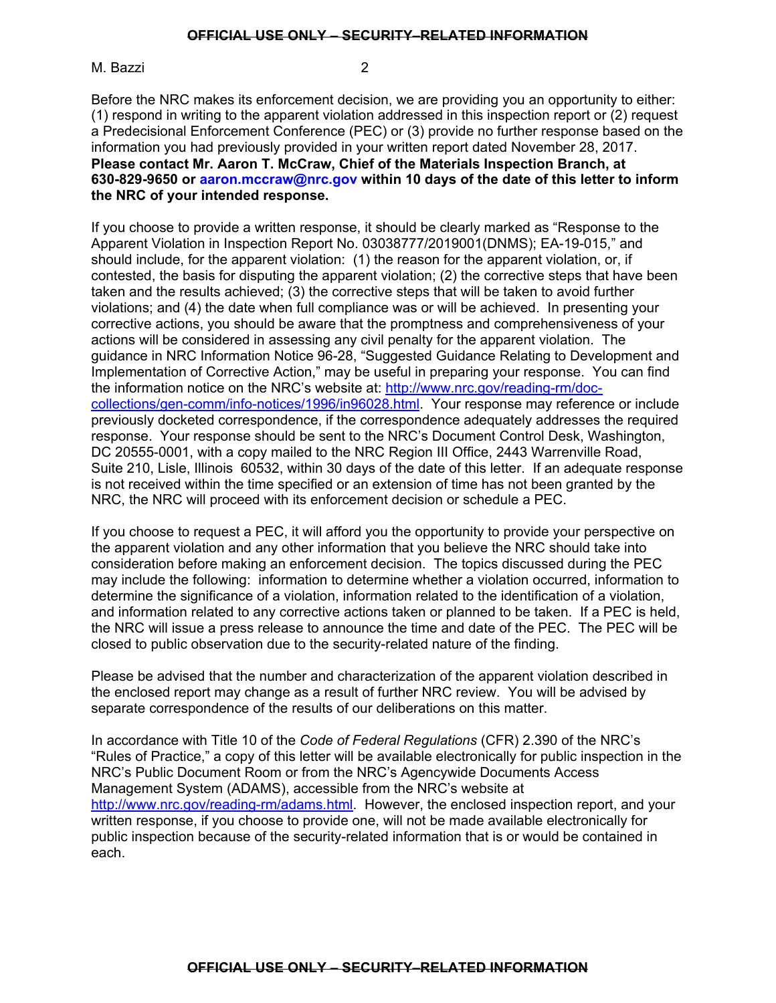M. Bazzi 2

Before the NRC makes its enforcement decision, we are providing you an opportunity to either: (1) respond in writing to the apparent violation addressed in this inspection report or (2) request a Predecisional Enforcement Conference (PEC) or (3) provide no further response based on the information you had previously provided in your written report dated November 28, 2017. **Please contact Mr. Aaron T. McCraw, Chief of the Materials Inspection Branch, at 630-829-9650 or aaron.mccraw@nrc.gov within 10 days of the date of this letter to inform the NRC of your intended response.** 

If you choose to provide a written response, it should be clearly marked as "Response to the Apparent Violation in Inspection Report No. 03038777/2019001(DNMS); EA-19-015," and should include, for the apparent violation: (1) the reason for the apparent violation, or, if contested, the basis for disputing the apparent violation; (2) the corrective steps that have been taken and the results achieved; (3) the corrective steps that will be taken to avoid further violations; and (4) the date when full compliance was or will be achieved. In presenting your corrective actions, you should be aware that the promptness and comprehensiveness of your actions will be considered in assessing any civil penalty for the apparent violation. The guidance in NRC Information Notice 96-28, "Suggested Guidance Relating to Development and Implementation of Corrective Action," may be useful in preparing your response. You can find the information notice on the NRC's website at: http://www.nrc.gov/reading-rm/doccollections/gen-comm/info-notices/1996/in96028.html. Your response may reference or include previously docketed correspondence, if the correspondence adequately addresses the required response. Your response should be sent to the NRC's Document Control Desk, Washington, DC 20555-0001, with a copy mailed to the NRC Region III Office, 2443 Warrenville Road, Suite 210, Lisle, Illinois 60532, within 30 days of the date of this letter. If an adequate response is not received within the time specified or an extension of time has not been granted by the NRC, the NRC will proceed with its enforcement decision or schedule a PEC.

If you choose to request a PEC, it will afford you the opportunity to provide your perspective on the apparent violation and any other information that you believe the NRC should take into consideration before making an enforcement decision. The topics discussed during the PEC may include the following: information to determine whether a violation occurred, information to determine the significance of a violation, information related to the identification of a violation, and information related to any corrective actions taken or planned to be taken. If a PEC is held, the NRC will issue a press release to announce the time and date of the PEC. The PEC will be closed to public observation due to the security-related nature of the finding.

Please be advised that the number and characterization of the apparent violation described in the enclosed report may change as a result of further NRC review. You will be advised by separate correspondence of the results of our deliberations on this matter.

In accordance with Title 10 of the *Code of Federal Regulations* (CFR) 2.390 of the NRC's "Rules of Practice," a copy of this letter will be available electronically for public inspection in the NRC's Public Document Room or from the NRC's Agencywide Documents Access Management System (ADAMS), accessible from the NRC's website at http://www.nrc.gov/reading-rm/adams.html. However, the enclosed inspection report, and your written response, if you choose to provide one, will not be made available electronically for public inspection because of the security-related information that is or would be contained in each.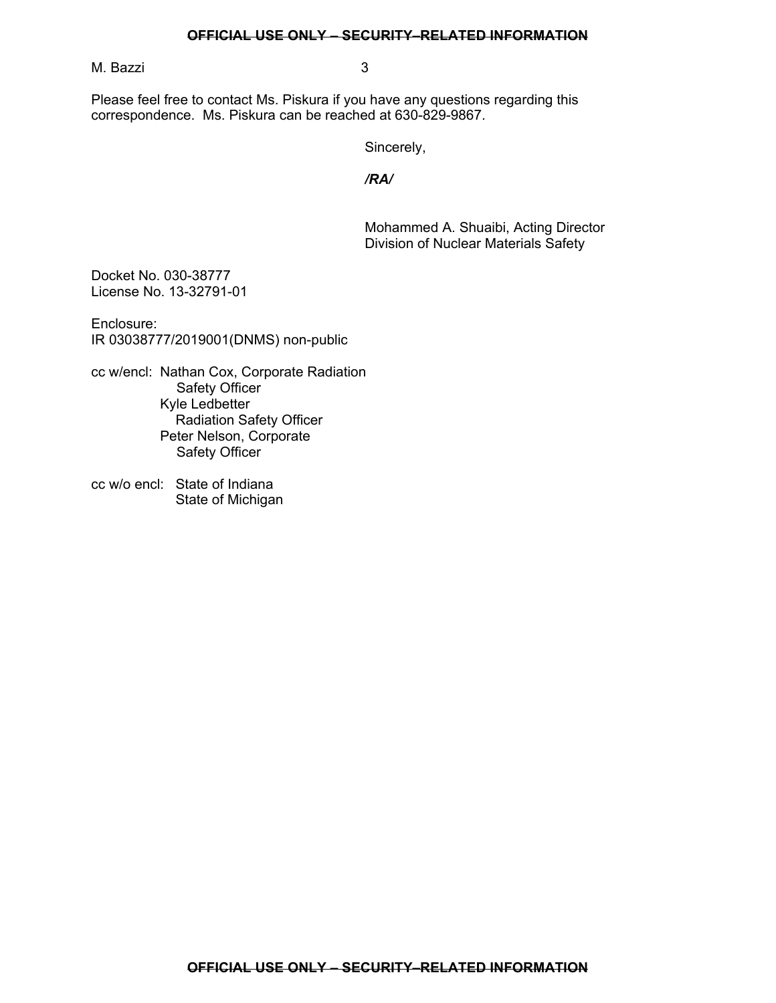## **OFFICIAL USE ONLY – SECURITY–RELATED INFORMATION**

M. Bazzi 3

Please feel free to contact Ms. Piskura if you have any questions regarding this correspondence. Ms. Piskura can be reached at 630-829-9867.

Sincerely,

*/RA/*

Mohammed A. Shuaibi, Acting Director Division of Nuclear Materials Safety

Docket No. 030-38777 License No. 13-32791-01

Enclosure: IR 03038777/2019001(DNMS) non-public

cc w/encl: Nathan Cox, Corporate Radiation Safety Officer Kyle Ledbetter Radiation Safety Officer Peter Nelson, Corporate Safety Officer

cc w/o encl: State of Indiana State of Michigan